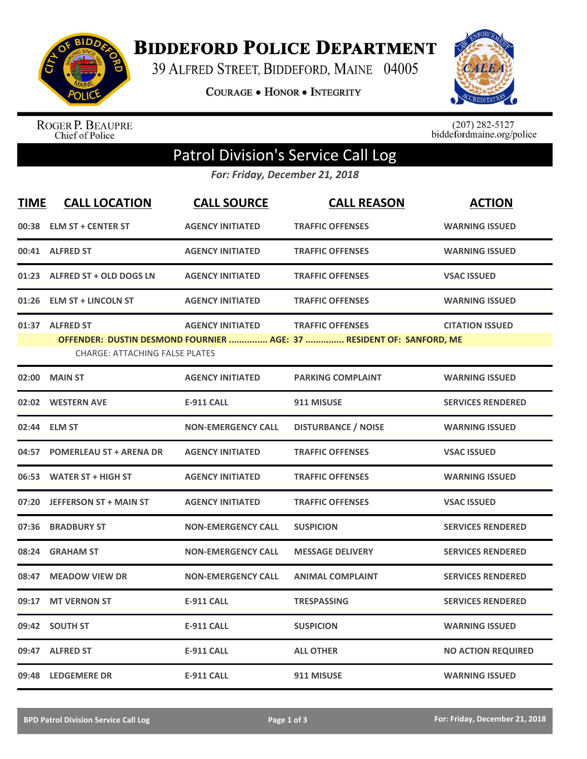

**BIDDEFORD POLICE DEPARTMENT** 

39 ALFRED STREET, BIDDEFORD, MAINE 04005

COURAGE . HONOR . INTEGRITY



ROGER P. BEAUPRE<br>Chief of Police

 $(207)$  282-5127<br>biddefordmaine.org/police

## Patrol Division's Service Call Log

*For: Friday, December 21, 2018*

| <b>TIME</b> | <b>CALL LOCATION</b>                                     | <b>CALL SOURCE</b>        | <b>CALL REASON</b>                                                                              | <b>ACTION</b>             |
|-------------|----------------------------------------------------------|---------------------------|-------------------------------------------------------------------------------------------------|---------------------------|
| 00:38       | <b>ELM ST + CENTER ST</b>                                | <b>AGENCY INITIATED</b>   | <b>TRAFFIC OFFENSES</b>                                                                         | <b>WARNING ISSUED</b>     |
|             | 00:41 ALFRED ST                                          | <b>AGENCY INITIATED</b>   | <b>TRAFFIC OFFENSES</b>                                                                         | <b>WARNING ISSUED</b>     |
|             | 01:23 ALFRED ST + OLD DOGS LN                            | <b>AGENCY INITIATED</b>   | <b>TRAFFIC OFFENSES</b>                                                                         | <b>VSAC ISSUED</b>        |
| 01:26       | <b>ELM ST + LINCOLN ST</b>                               | <b>AGENCY INITIATED</b>   | <b>TRAFFIC OFFENSES</b>                                                                         | <b>WARNING ISSUED</b>     |
|             | 01:37 ALFRED ST<br><b>CHARGE: ATTACHING FALSE PLATES</b> | <b>AGENCY INITIATED</b>   | <b>TRAFFIC OFFENSES</b><br>OFFENDER: DUSTIN DESMOND FOURNIER  AGE: 37  RESIDENT OF: SANFORD, ME | <b>CITATION ISSUED</b>    |
| 02:00       | <b>MAIN ST</b>                                           | <b>AGENCY INITIATED</b>   | <b>PARKING COMPLAINT</b>                                                                        | <b>WARNING ISSUED</b>     |
|             | 02:02 WESTERN AVE                                        | <b>E-911 CALL</b>         | 911 MISUSE                                                                                      | <b>SERVICES RENDERED</b>  |
| 02:44       | <b>ELM ST</b>                                            | <b>NON-EMERGENCY CALL</b> | <b>DISTURBANCE / NOISE</b>                                                                      | <b>WARNING ISSUED</b>     |
| 04:57       | <b>POMERLEAU ST + ARENA DR</b>                           | <b>AGENCY INITIATED</b>   | <b>TRAFFIC OFFENSES</b>                                                                         | <b>VSAC ISSUED</b>        |
| 06:53       | <b>WATER ST + HIGH ST</b>                                | <b>AGENCY INITIATED</b>   | <b>TRAFFIC OFFENSES</b>                                                                         | <b>WARNING ISSUED</b>     |
|             | 07:20 JEFFERSON ST + MAIN ST                             | <b>AGENCY INITIATED</b>   | <b>TRAFFIC OFFENSES</b>                                                                         | <b>VSAC ISSUED</b>        |
| 07:36       | <b>BRADBURY ST</b>                                       | <b>NON-EMERGENCY CALL</b> | <b>SUSPICION</b>                                                                                | <b>SERVICES RENDERED</b>  |
| 08:24       | <b>GRAHAM ST</b>                                         | <b>NON-EMERGENCY CALL</b> | <b>MESSAGE DELIVERY</b>                                                                         | <b>SERVICES RENDERED</b>  |
| 08:47       | <b>MEADOW VIEW DR</b>                                    | <b>NON-EMERGENCY CALL</b> | <b>ANIMAL COMPLAINT</b>                                                                         | <b>SERVICES RENDERED</b>  |
| 09:17       | <b>MT VERNON ST</b>                                      | <b>E-911 CALL</b>         | <b>TRESPASSING</b>                                                                              | <b>SERVICES RENDERED</b>  |
|             | 09:42 SOUTH ST                                           | <b>E-911 CALL</b>         | <b>SUSPICION</b>                                                                                | <b>WARNING ISSUED</b>     |
|             | 09:47 ALFRED ST                                          | <b>E-911 CALL</b>         | <b>ALL OTHER</b>                                                                                | <b>NO ACTION REQUIRED</b> |
|             | 09:48 LEDGEMERE DR                                       | <b>E-911 CALL</b>         | 911 MISUSE                                                                                      | <b>WARNING ISSUED</b>     |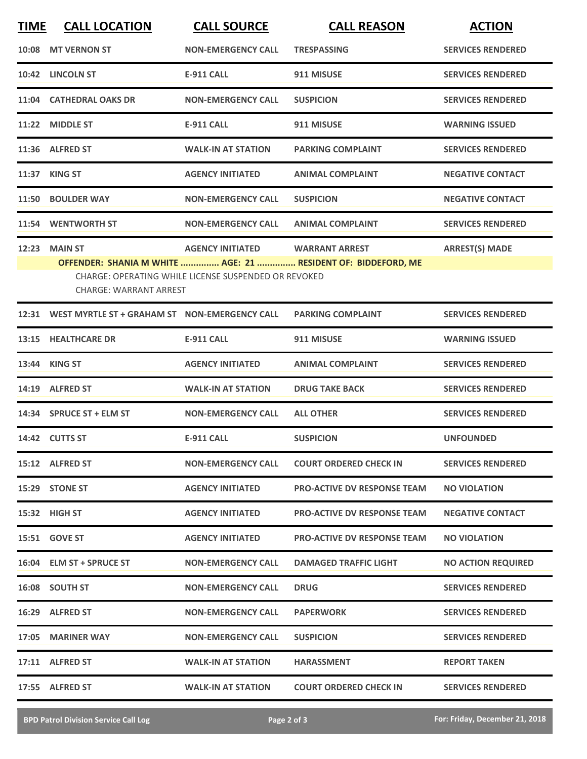| <b>TIME</b> | <b>CALL LOCATION</b>                                                                                                                                   | <b>CALL SOURCE</b>        | <b>CALL REASON</b>                 | <b>ACTION</b>             |  |  |  |
|-------------|--------------------------------------------------------------------------------------------------------------------------------------------------------|---------------------------|------------------------------------|---------------------------|--|--|--|
| 10:08       | <b>MT VERNON ST</b>                                                                                                                                    | <b>NON-EMERGENCY CALL</b> | <b>TRESPASSING</b>                 | <b>SERVICES RENDERED</b>  |  |  |  |
|             | 10:42 LINCOLN ST                                                                                                                                       | <b>E-911 CALL</b>         | 911 MISUSE                         | <b>SERVICES RENDERED</b>  |  |  |  |
|             | 11:04 CATHEDRAL OAKS DR                                                                                                                                | <b>NON-EMERGENCY CALL</b> | <b>SUSPICION</b>                   | <b>SERVICES RENDERED</b>  |  |  |  |
|             | 11:22 MIDDLE ST                                                                                                                                        | <b>E-911 CALL</b>         | 911 MISUSE                         | <b>WARNING ISSUED</b>     |  |  |  |
|             | 11:36 ALFRED ST                                                                                                                                        | <b>WALK-IN AT STATION</b> | <b>PARKING COMPLAINT</b>           | <b>SERVICES RENDERED</b>  |  |  |  |
|             | <b>11:37 KING ST</b>                                                                                                                                   | <b>AGENCY INITIATED</b>   | <b>ANIMAL COMPLAINT</b>            | <b>NEGATIVE CONTACT</b>   |  |  |  |
|             | 11:50 BOULDER WAY                                                                                                                                      | <b>NON-EMERGENCY CALL</b> | <b>SUSPICION</b>                   | <b>NEGATIVE CONTACT</b>   |  |  |  |
| 11:54       | <b>WENTWORTH ST</b>                                                                                                                                    | <b>NON-EMERGENCY CALL</b> | <b>ANIMAL COMPLAINT</b>            | <b>SERVICES RENDERED</b>  |  |  |  |
| 12:23       | <b>MAIN ST</b>                                                                                                                                         | <b>AGENCY INITIATED</b>   | <b>WARRANT ARREST</b>              | <b>ARREST(S) MADE</b>     |  |  |  |
|             | OFFENDER: SHANIA M WHITE  AGE: 21  RESIDENT OF: BIDDEFORD, ME<br>CHARGE: OPERATING WHILE LICENSE SUSPENDED OR REVOKED<br><b>CHARGE: WARRANT ARREST</b> |                           |                                    |                           |  |  |  |
| 12:31       | WEST MYRTLE ST + GRAHAM ST NON-EMERGENCY CALL                                                                                                          |                           | <b>PARKING COMPLAINT</b>           | <b>SERVICES RENDERED</b>  |  |  |  |
| 13:15       | <b>HEALTHCARE DR</b>                                                                                                                                   | <b>E-911 CALL</b>         | 911 MISUSE                         | <b>WARNING ISSUED</b>     |  |  |  |
|             | 13:44 KING ST                                                                                                                                          | <b>AGENCY INITIATED</b>   | <b>ANIMAL COMPLAINT</b>            | <b>SERVICES RENDERED</b>  |  |  |  |
|             | 14:19 ALFRED ST                                                                                                                                        | <b>WALK-IN AT STATION</b> | <b>DRUG TAKE BACK</b>              | <b>SERVICES RENDERED</b>  |  |  |  |
|             | 14:34 SPRUCE ST + ELM ST                                                                                                                               | <b>NON-EMERGENCY CALL</b> | <b>ALL OTHER</b>                   | <b>SERVICES RENDERED</b>  |  |  |  |
|             | 14:42 CUTTS ST                                                                                                                                         | <b>E-911 CALL</b>         | <b>SUSPICION</b>                   | <b>UNFOUNDED</b>          |  |  |  |
|             | 15:12 ALFRED ST                                                                                                                                        | <b>NON-EMERGENCY CALL</b> | <b>COURT ORDERED CHECK IN</b>      | <b>SERVICES RENDERED</b>  |  |  |  |
|             | 15:29 STONE ST                                                                                                                                         | <b>AGENCY INITIATED</b>   | <b>PRO-ACTIVE DV RESPONSE TEAM</b> | <b>NO VIOLATION</b>       |  |  |  |
|             | 15:32 HIGH ST                                                                                                                                          | <b>AGENCY INITIATED</b>   | <b>PRO-ACTIVE DV RESPONSE TEAM</b> | <b>NEGATIVE CONTACT</b>   |  |  |  |
|             | <b>15:51 GOVE ST</b>                                                                                                                                   | <b>AGENCY INITIATED</b>   | <b>PRO-ACTIVE DV RESPONSE TEAM</b> | <b>NO VIOLATION</b>       |  |  |  |
|             | 16:04 ELM ST + SPRUCE ST                                                                                                                               | <b>NON-EMERGENCY CALL</b> | <b>DAMAGED TRAFFIC LIGHT</b>       | <b>NO ACTION REQUIRED</b> |  |  |  |
|             | 16:08 SOUTH ST                                                                                                                                         | <b>NON-EMERGENCY CALL</b> | <b>DRUG</b>                        | <b>SERVICES RENDERED</b>  |  |  |  |
|             | 16:29 ALFRED ST                                                                                                                                        | <b>NON-EMERGENCY CALL</b> | <b>PAPERWORK</b>                   | <b>SERVICES RENDERED</b>  |  |  |  |
|             | 17:05 MARINER WAY                                                                                                                                      | <b>NON-EMERGENCY CALL</b> | <b>SUSPICION</b>                   | <b>SERVICES RENDERED</b>  |  |  |  |
|             | 17:11 ALFRED ST                                                                                                                                        | <b>WALK-IN AT STATION</b> | <b>HARASSMENT</b>                  | <b>REPORT TAKEN</b>       |  |  |  |
|             | 17:55 ALFRED ST                                                                                                                                        | <b>WALK-IN AT STATION</b> | <b>COURT ORDERED CHECK IN</b>      | <b>SERVICES RENDERED</b>  |  |  |  |